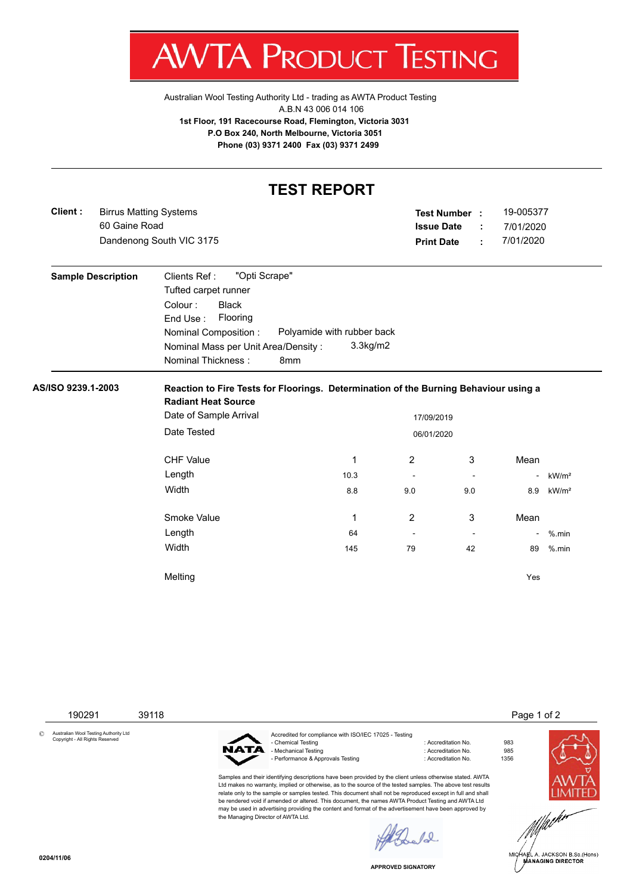

Australian Wool Testing Authority Ltd - trading as AWTA Product Testing A.B.N 43 006 014 106 **1st Floor, 191 Racecourse Road, Flemington, Victoria 3031 P.O Box 240, North Melbourne, Victoria 3051 Phone (03) 9371 2400 Fax (03) 9371 2499**

## **TEST REPORT**

| Client:            | <b>Birrus Matting Systems</b><br>60 Gaine Road |                                                                                                                                                                         |                                              | Test Number :<br><b>Issue Date</b> | ÷              | 19-005377<br>7/01/2020 |                   |
|--------------------|------------------------------------------------|-------------------------------------------------------------------------------------------------------------------------------------------------------------------------|----------------------------------------------|------------------------------------|----------------|------------------------|-------------------|
|                    | Dandenong South VIC 3175                       |                                                                                                                                                                         |                                              |                                    | ÷              | 7/01/2020              |                   |
|                    | <b>Sample Description</b>                      | "Opti Scrape"<br>Clients Ref:<br>Tufted carpet runner<br>Colour:<br><b>Black</b><br>End Use:<br>Flooring<br>Nominal Composition:<br>Nominal Mass per Unit Area/Density: | Polyamide with rubber back<br>$3.3$ kg/m $2$ |                                    |                |                        |                   |
|                    |                                                | <b>Nominal Thickness:</b><br>8 <sub>mm</sub>                                                                                                                            |                                              |                                    |                |                        |                   |
| AS/ISO 9239.1-2003 |                                                | Reaction to Fire Tests for Floorings. Determination of the Burning Behaviour using a                                                                                    |                                              |                                    |                |                        |                   |
|                    |                                                |                                                                                                                                                                         |                                              |                                    |                |                        |                   |
|                    |                                                | <b>Radiant Heat Source</b><br>Date of Sample Arrival                                                                                                                    |                                              | 17/09/2019                         |                |                        |                   |
|                    |                                                | Date Tested                                                                                                                                                             |                                              | 06/01/2020                         |                |                        |                   |
|                    |                                                | <b>CHF Value</b>                                                                                                                                                        | 1                                            | $\overline{2}$                     | 3              | Mean                   |                   |
|                    |                                                | Length                                                                                                                                                                  | 10.3                                         | $\blacksquare$                     | $\blacksquare$ | $\overline{a}$         | kW/m <sup>2</sup> |
|                    |                                                | Width                                                                                                                                                                   | 8.8                                          | 9.0<br>9.0                         |                | 8.9                    | kW/m <sup>2</sup> |
|                    |                                                | Smoke Value                                                                                                                                                             | 1                                            | $\overline{2}$                     | 3              | Mean                   |                   |
|                    |                                                | Length                                                                                                                                                                  | 64                                           | $\overline{\phantom{a}}$           | $\blacksquare$ |                        | $%$ .min          |
|                    |                                                | Width                                                                                                                                                                   | 145                                          | 79                                 | 42             | 89                     | $%$ .min          |

190291 39118 Page 1 of 2

© Australian Wool Testing Authority Ltd Copyright - All Rights Reserved



Accredited for compliance with ISO/IEC 17025 - Testing - Chemical Testing : Accreditation No. 983 - Mechanical Testing - Performance & Approvals Testing in the match of the control of Accreditation No. 1356

Samples and their identifying descriptions have been provided by the client unless otherwise stated. AWTA Ltd makes no warranty, implied or otherwise, as to the source of the tested samples. The above test results relate only to the sample or samples tested. This document shall not be reproduced except in full and shall be rendered void if amended or altered. This document, the names AWTA Product Testing and AWTA Ltd may be used in advertising providing the content and format of the advertisement have been approved by the Managing Director of AWTA Ltd.







**APPROVED SIGNATORY**